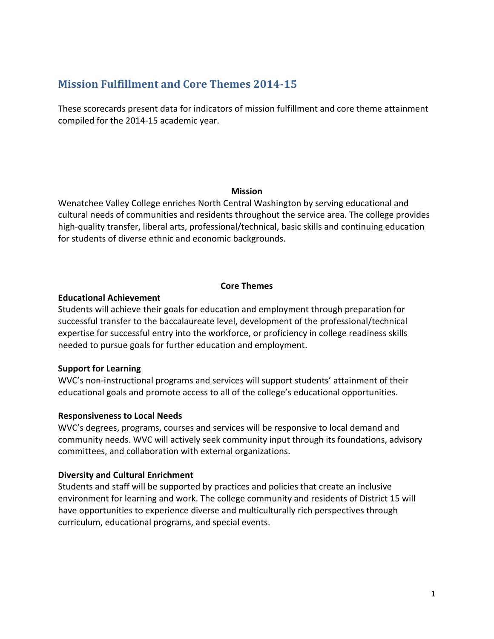# **Mission Fulfillment and Core Themes 2014-15**

These scorecards present data for indicators of mission fulfillment and core theme attainment compiled for the 2014-15 academic year.

#### **Mission**

Wenatchee Valley College enriches North Central Washington by serving educational and cultural needs of communities and residents throughout the service area. The college provides high-quality transfer, liberal arts, professional/technical, basic skills and continuing education for students of diverse ethnic and economic backgrounds.

### **Core Themes**

### **Educational Achievement**

Students will achieve their goals for education and employment through preparation for successful transfer to the baccalaureate level, development of the professional/technical expertise for successful entry into the workforce, or proficiency in college readiness skills needed to pursue goals for further education and employment.

# **Support for Learning**

WVC's non-instructional programs and services will support students' attainment of their educational goals and promote access to all of the college's educational opportunities.

### **Responsiveness to Local Needs**

WVC's degrees, programs, courses and services will be responsive to local demand and community needs. WVC will actively seek community input through its foundations, advisory committees, and collaboration with external organizations.

# **Diversity and Cultural Enrichment**

Students and staff will be supported by practices and policies that create an inclusive environment for learning and work. The college community and residents of District 15 will have opportunities to experience diverse and multiculturally rich perspectives through curriculum, educational programs, and special events.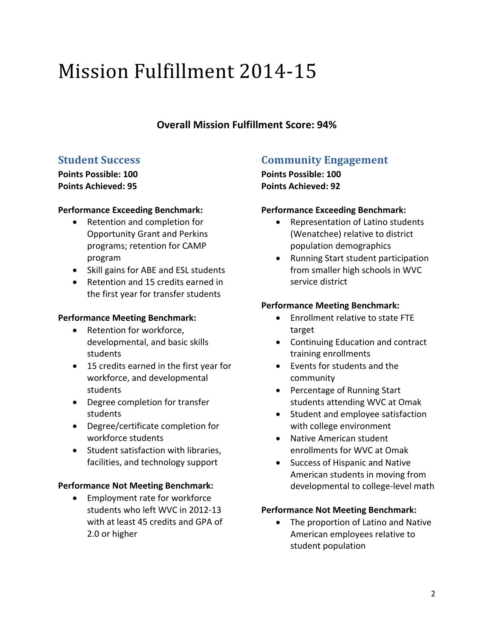# Mission Fulfillment 2014-15

# **Overall Mission Fulfillment Score: 94%**

# **Student Success**

**Points Possible: 100 Points Achieved: 95**

# **Performance Exceeding Benchmark:**

- Retention and completion for Opportunity Grant and Perkins programs; retention for CAMP program
- Skill gains for ABE and ESL students
- Retention and 15 credits earned in the first year for transfer students

# **Performance Meeting Benchmark:**

- Retention for workforce, developmental, and basic skills students
- 15 credits earned in the first year for workforce, and developmental students
- Degree completion for transfer students
- Degree/certificate completion for workforce students
- Student satisfaction with libraries, facilities, and technology support

# **Performance Not Meeting Benchmark:**

• Employment rate for workforce students who left WVC in 2012-13 with at least 45 credits and GPA of 2.0 or higher

# **Community Engagement**

**Points Possible: 100 Points Achieved: 92**

# **Performance Exceeding Benchmark:**

- Representation of Latino students (Wenatchee) relative to district population demographics
- Running Start student participation from smaller high schools in WVC service district

# **Performance Meeting Benchmark:**

- Enrollment relative to state FTE target
- Continuing Education and contract training enrollments
- Events for students and the community
- Percentage of Running Start students attending WVC at Omak
- Student and employee satisfaction with college environment
- Native American student enrollments for WVC at Omak
- Success of Hispanic and Native American students in moving from developmental to college-level math

# **Performance Not Meeting Benchmark:**

• The proportion of Latino and Native American employees relative to student population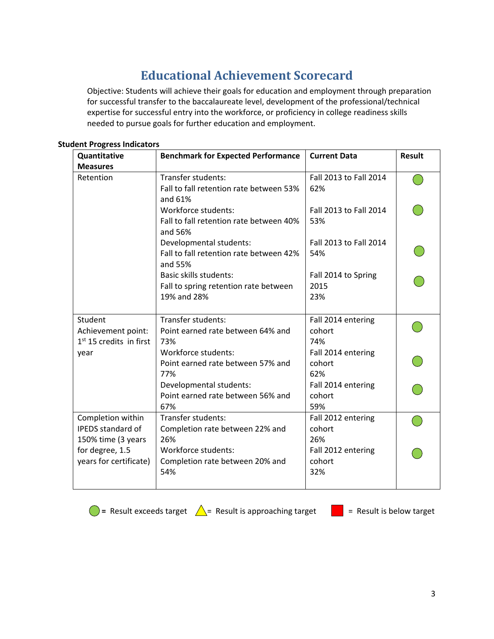# **Educational Achievement Scorecard**

Objective: Students will achieve their goals for education and employment through preparation for successful transfer to the baccalaureate level, development of the professional/technical expertise for successful entry into the workforce, or proficiency in college readiness skills needed to pursue goals for further education and employment.

| Quantitative              | <b>Benchmark for Expected Performance</b>          | <b>Current Data</b>    | <b>Result</b> |  |
|---------------------------|----------------------------------------------------|------------------------|---------------|--|
| <b>Measures</b>           |                                                    |                        |               |  |
| Retention                 | Transfer students:                                 | Fall 2013 to Fall 2014 |               |  |
|                           | Fall to fall retention rate between 53%            | 62%                    |               |  |
|                           | and 61%                                            |                        |               |  |
|                           | Workforce students:                                | Fall 2013 to Fall 2014 |               |  |
|                           | Fall to fall retention rate between 40%<br>and 56% | 53%                    |               |  |
|                           | Developmental students:                            | Fall 2013 to Fall 2014 |               |  |
|                           | Fall to fall retention rate between 42%<br>and 55% | 54%                    |               |  |
|                           | Basic skills students:                             | Fall 2014 to Spring    |               |  |
|                           | Fall to spring retention rate between              | 2015                   |               |  |
|                           | 19% and 28%                                        | 23%                    |               |  |
|                           |                                                    |                        |               |  |
| Student                   | Transfer students:                                 | Fall 2014 entering     |               |  |
| Achievement point:        | Point earned rate between 64% and                  | cohort                 |               |  |
| $1st$ 15 credits in first | 73%                                                | 74%                    |               |  |
| year                      | Workforce students:                                | Fall 2014 entering     |               |  |
|                           | Point earned rate between 57% and                  | cohort                 |               |  |
|                           | 77%                                                | 62%                    |               |  |
|                           | Developmental students:                            | Fall 2014 entering     |               |  |
|                           | Point earned rate between 56% and                  | cohort                 |               |  |
|                           | 67%                                                | 59%                    |               |  |
| Completion within         | Transfer students:                                 | Fall 2012 entering     |               |  |
| IPEDS standard of         | Completion rate between 22% and                    | cohort                 |               |  |
| 150% time (3 years        | 26%                                                | 26%                    |               |  |
| for degree, 1.5           | Workforce students:                                | Fall 2012 entering     |               |  |
| years for certificate)    | Completion rate between 20% and                    | cohort                 |               |  |
|                           | 54%                                                | 32%                    |               |  |
|                           |                                                    |                        |               |  |

#### **Student Progress Indicators**



**a** = Result exceeds target  $\triangle$  = Result is approaching target  $\triangle$  = Result is below target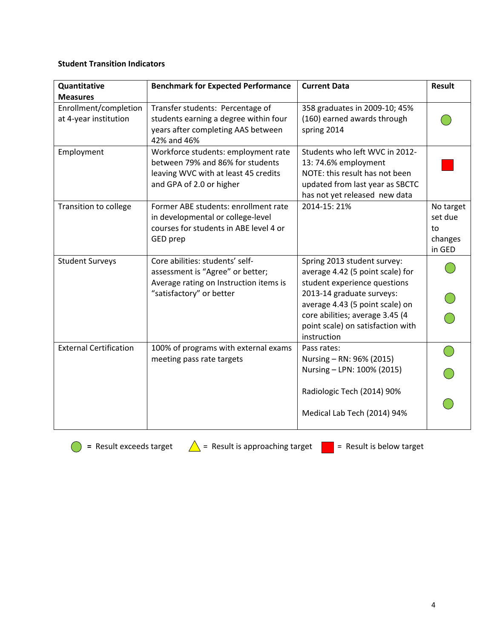### **Student Transition Indicators**

| Quantitative                                   | <b>Benchmark for Expected Performance</b>                                                                                                   | <b>Current Data</b>                                                                                                                                                                                                                                    | <b>Result</b>                                   |
|------------------------------------------------|---------------------------------------------------------------------------------------------------------------------------------------------|--------------------------------------------------------------------------------------------------------------------------------------------------------------------------------------------------------------------------------------------------------|-------------------------------------------------|
| <b>Measures</b>                                |                                                                                                                                             |                                                                                                                                                                                                                                                        |                                                 |
| Enrollment/completion<br>at 4-year institution | Transfer students: Percentage of<br>students earning a degree within four<br>years after completing AAS between<br>42% and 46%              | 358 graduates in 2009-10; 45%<br>(160) earned awards through<br>spring 2014                                                                                                                                                                            |                                                 |
| Employment                                     | Workforce students: employment rate<br>between 79% and 86% for students<br>leaving WVC with at least 45 credits<br>and GPA of 2.0 or higher | Students who left WVC in 2012-<br>13:74.6% employment<br>NOTE: this result has not been<br>updated from last year as SBCTC<br>has not yet released new data                                                                                            |                                                 |
| Transition to college                          | Former ABE students: enrollment rate<br>in developmental or college-level<br>courses for students in ABE level 4 or<br>GED prep             | 2014-15:21%                                                                                                                                                                                                                                            | No target<br>set due<br>to<br>changes<br>in GED |
| <b>Student Surveys</b>                         | Core abilities: students' self-<br>assessment is "Agree" or better;<br>Average rating on Instruction items is<br>"satisfactory" or better   | Spring 2013 student survey:<br>average 4.42 (5 point scale) for<br>student experience questions<br>2013-14 graduate surveys:<br>average 4.43 (5 point scale) on<br>core abilities; average 3.45 (4<br>point scale) on satisfaction with<br>instruction |                                                 |
| <b>External Certification</b>                  | 100% of programs with external exams<br>meeting pass rate targets                                                                           | Pass rates:<br>Nursing - RN: 96% (2015)<br>Nursing - LPN: 100% (2015)<br>Radiologic Tech (2014) 90%<br>Medical Lab Tech (2014) 94%                                                                                                                     |                                                 |

**C** = Result exceeds target  $\triangle$  = Result is approaching target  $\triangle$  = Result is below target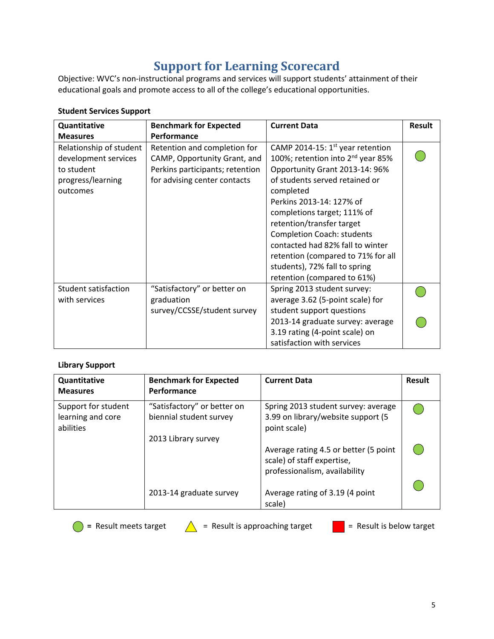# **Support for Learning Scorecard**

Objective: WVC's non-instructional programs and services will support students' attainment of their educational goals and promote access to all of the college's educational opportunities.

| Quantitative<br><b>Measures</b>                                                                | <b>Benchmark for Expected</b><br>Performance                                                                                    | <b>Current Data</b>                                                                                                                                                                                                                                                                                                                                                                                                                         | <b>Result</b> |
|------------------------------------------------------------------------------------------------|---------------------------------------------------------------------------------------------------------------------------------|---------------------------------------------------------------------------------------------------------------------------------------------------------------------------------------------------------------------------------------------------------------------------------------------------------------------------------------------------------------------------------------------------------------------------------------------|---------------|
| Relationship of student<br>development services<br>to student<br>progress/learning<br>outcomes | Retention and completion for<br>CAMP, Opportunity Grant, and<br>Perkins participants; retention<br>for advising center contacts | CAMP 2014-15: $1st$ year retention<br>100%; retention into 2 <sup>nd</sup> year 85%<br>Opportunity Grant 2013-14: 96%<br>of students served retained or<br>completed<br>Perkins 2013-14: 127% of<br>completions target; 111% of<br>retention/transfer target<br><b>Completion Coach: students</b><br>contacted had 82% fall to winter<br>retention (compared to 71% for all<br>students), 72% fall to spring<br>retention (compared to 61%) |               |
| Student satisfaction<br>with services                                                          | "Satisfactory" or better on<br>graduation<br>survey/CCSSE/student survey                                                        | Spring 2013 student survey:<br>average 3.62 (5-point scale) for<br>student support questions<br>2013-14 graduate survey: average<br>3.19 rating (4-point scale) on<br>satisfaction with services                                                                                                                                                                                                                                            |               |

## **Student Services Support**

### **Library Support**

| Quantitative<br><b>Measures</b>                       | <b>Benchmark for Expected</b><br>Performance           | <b>Current Data</b>                                                                                  | <b>Result</b> |
|-------------------------------------------------------|--------------------------------------------------------|------------------------------------------------------------------------------------------------------|---------------|
| Support for student<br>learning and core<br>abilities | "Satisfactory" or better on<br>biennial student survey | Spring 2013 student survey: average<br>3.99 on library/website support (5<br>point scale)            |               |
|                                                       | 2013 Library survey                                    | Average rating 4.5 or better (5 point<br>scale) of staff expertise,<br>professionalism, availability |               |
|                                                       | 2013-14 graduate survey                                | Average rating of 3.19 (4 point<br>scale)                                                            |               |

**O** = Result meets target  $\triangle$  = Result is approaching target  $\triangle$  = Result is below target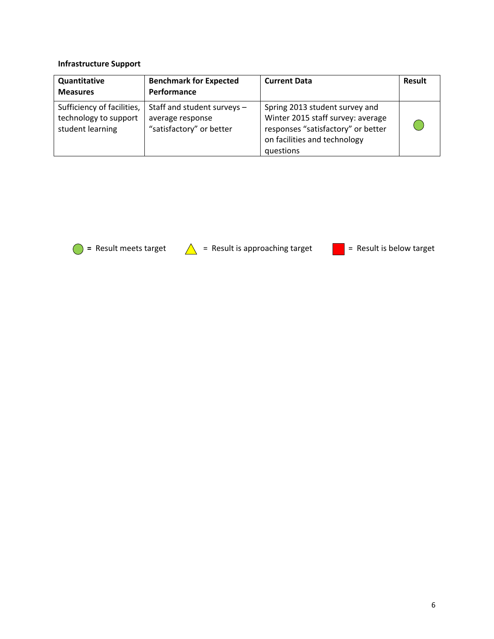## **Infrastructure Support**

| Quantitative<br><b>Measures</b>                                         | <b>Benchmark for Expected</b><br>Performance                                | <b>Current Data</b>                                                                                                                                    | <b>Result</b> |
|-------------------------------------------------------------------------|-----------------------------------------------------------------------------|--------------------------------------------------------------------------------------------------------------------------------------------------------|---------------|
| Sufficiency of facilities,<br>technology to support<br>student learning | Staff and student surveys -<br>average response<br>"satisfactory" or better | Spring 2013 student survey and<br>Winter 2015 staff survey: average<br>responses "satisfactory" or better<br>on facilities and technology<br>questions |               |

**O** = Result meets target  $\triangle$  = Result is approaching target  $\triangle$  = Result is below target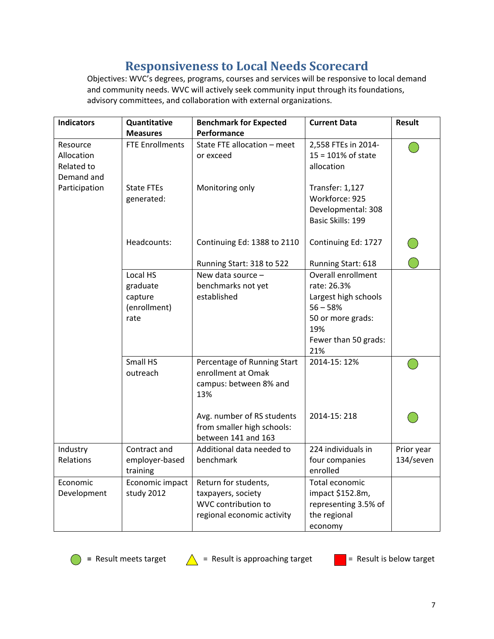# **Responsiveness to Local Needs Scorecard**

Objectives: WVC's degrees, programs, courses and services will be responsive to local demand and community needs. WVC will actively seek community input through its foundations, advisory committees, and collaboration with external organizations.

| <b>Indicators</b>                                  | Quantitative                                            | <b>Benchmark for Expected</b>                                                                   | <b>Current Data</b>                                                                                                                | <b>Result</b>           |
|----------------------------------------------------|---------------------------------------------------------|-------------------------------------------------------------------------------------------------|------------------------------------------------------------------------------------------------------------------------------------|-------------------------|
|                                                    | <b>Measures</b>                                         | Performance                                                                                     |                                                                                                                                    |                         |
| Resource<br>Allocation<br>Related to<br>Demand and | <b>FTE Enrollments</b>                                  | State FTE allocation - meet<br>or exceed                                                        | 2,558 FTEs in 2014-<br>$15 = 101\%$ of state<br>allocation                                                                         |                         |
| Participation                                      | <b>State FTEs</b><br>generated:                         | Monitoring only                                                                                 | Transfer: 1,127<br>Workforce: 925<br>Developmental: 308<br>Basic Skills: 199                                                       |                         |
|                                                    | Headcounts:                                             | Continuing Ed: 1388 to 2110                                                                     | Continuing Ed: 1727                                                                                                                |                         |
|                                                    |                                                         | Running Start: 318 to 522                                                                       | Running Start: 618                                                                                                                 |                         |
|                                                    | Local HS<br>graduate<br>capture<br>(enrollment)<br>rate | New data source -<br>benchmarks not yet<br>established                                          | Overall enrollment<br>rate: 26.3%<br>Largest high schools<br>$56 - 58%$<br>50 or more grads:<br>19%<br>Fewer than 50 grads:<br>21% |                         |
|                                                    | Small HS<br>outreach                                    | Percentage of Running Start<br>enrollment at Omak<br>campus: between 8% and<br>13%              | 2014-15: 12%                                                                                                                       |                         |
|                                                    |                                                         | Avg. number of RS students<br>from smaller high schools:<br>between 141 and 163                 | 2014-15:218                                                                                                                        |                         |
| Industry<br>Relations                              | Contract and<br>employer-based<br>training              | Additional data needed to<br>benchmark                                                          | 224 individuals in<br>four companies<br>enrolled                                                                                   | Prior year<br>134/seven |
| Economic<br>Development                            | Economic impact<br>study 2012                           | Return for students,<br>taxpayers, society<br>WVC contribution to<br>regional economic activity | Total economic<br>impact \$152.8m,<br>representing 3.5% of<br>the regional<br>economy                                              |                         |





= Result meets target  $\triangle$  = Result is approaching target  $\triangle$  = Result is below target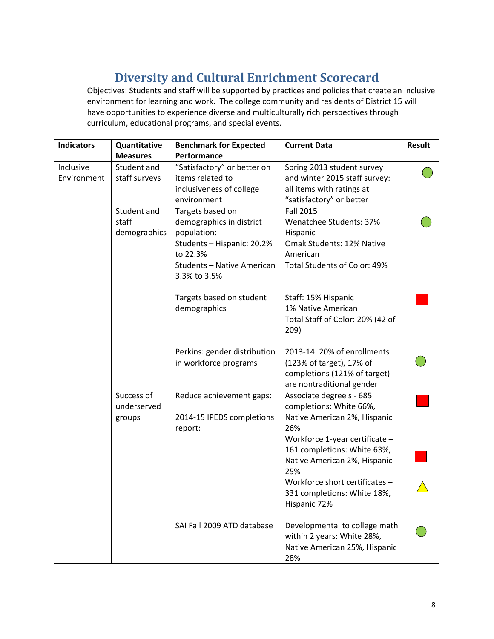# **Diversity and Cultural Enrichment Scorecard**

Objectives: Students and staff will be supported by practices and policies that create an inclusive environment for learning and work. The college community and residents of District 15 will have opportunities to experience diverse and multiculturally rich perspectives through curriculum, educational programs, and special events.

| <b>Indicators</b> | Quantitative    | <b>Benchmark for Expected</b> | <b>Current Data</b>              | <b>Result</b> |
|-------------------|-----------------|-------------------------------|----------------------------------|---------------|
|                   | <b>Measures</b> | Performance                   |                                  |               |
| Inclusive         | Student and     | "Satisfactory" or better on   | Spring 2013 student survey       |               |
| Environment       | staff surveys   | items related to              | and winter 2015 staff survey:    |               |
|                   |                 | inclusiveness of college      | all items with ratings at        |               |
|                   |                 | environment                   | "satisfactory" or better         |               |
|                   | Student and     | Targets based on              | <b>Fall 2015</b>                 |               |
|                   | staff           | demographics in district      | Wenatchee Students: 37%          |               |
|                   | demographics    | population:                   | Hispanic                         |               |
|                   |                 | Students - Hispanic: 20.2%    | Omak Students: 12% Native        |               |
|                   |                 | to 22.3%                      | American                         |               |
|                   |                 | Students - Native American    | Total Students of Color: 49%     |               |
|                   |                 | 3.3% to 3.5%                  |                                  |               |
|                   |                 | Targets based on student      | Staff: 15% Hispanic              |               |
|                   |                 | demographics                  | 1% Native American               |               |
|                   |                 |                               | Total Staff of Color: 20% (42 of |               |
|                   |                 |                               | 209)                             |               |
|                   |                 | Perkins: gender distribution  | 2013-14: 20% of enrollments      |               |
|                   |                 | in workforce programs         | (123% of target), 17% of         |               |
|                   |                 |                               | completions (121% of target)     |               |
|                   |                 |                               | are nontraditional gender        |               |
|                   | Success of      | Reduce achievement gaps:      | Associate degree s - 685         |               |
|                   | underserved     |                               | completions: White 66%,          |               |
|                   | groups          | 2014-15 IPEDS completions     | Native American 2%, Hispanic     |               |
|                   |                 | report:                       | 26%                              |               |
|                   |                 |                               | Workforce 1-year certificate -   |               |
|                   |                 |                               | 161 completions: White 63%,      |               |
|                   |                 |                               | Native American 2%, Hispanic     |               |
|                   |                 |                               | 25%                              |               |
|                   |                 |                               | Workforce short certificates -   |               |
|                   |                 |                               | 331 completions: White 18%,      |               |
|                   |                 |                               | Hispanic 72%                     |               |
|                   |                 | SAI Fall 2009 ATD database    | Developmental to college math    |               |
|                   |                 |                               | within 2 years: White 28%,       |               |
|                   |                 |                               | Native American 25%, Hispanic    |               |
|                   |                 |                               | 28%                              |               |